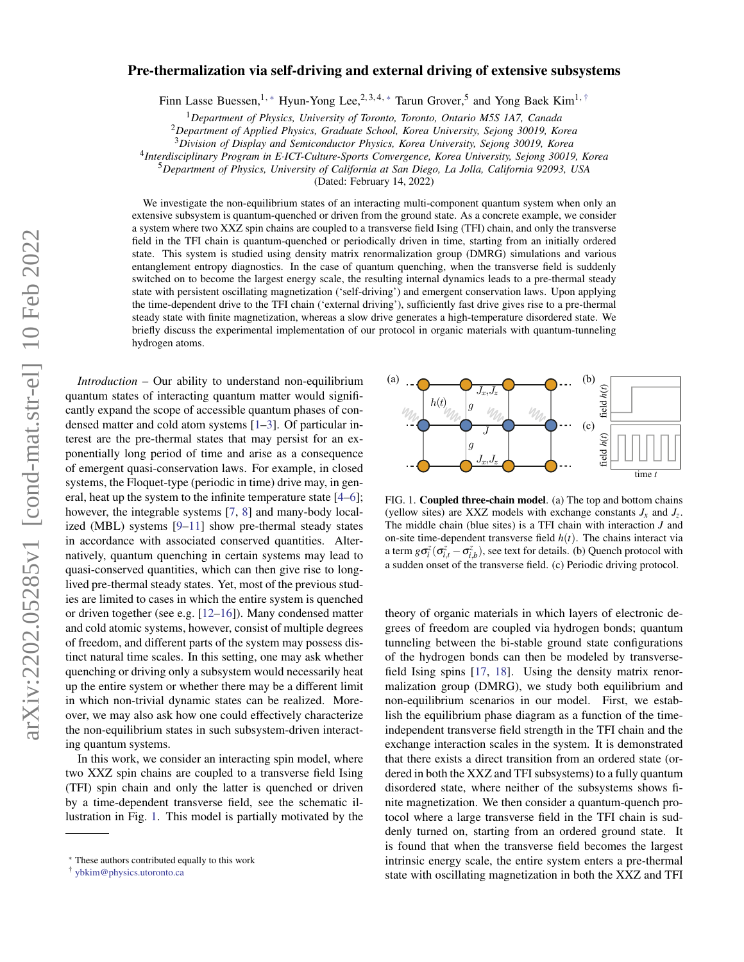# arXiv:2202.05285v1 [cond-mat.str-el] 10 Feb 2022 arXiv:2202.05285v1 [cond-mat.str-el] 10 Feb 2022

# Pre-thermalization via self-driving and external driving of extensive subsystems

Finn Lasse Buessen,<sup>1,\*</sup> Hyun-Yong Lee,<sup>2,3,4,\*</sup> Tarun Grover,<sup>5</sup> and Yong Baek Kim<sup>1,†</sup>

<sup>1</sup>*Department of Physics, University of Toronto, Toronto, Ontario M5S 1A7, Canada*

<sup>2</sup>*Department of Applied Physics, Graduate School, Korea University, Sejong 30019, Korea*

<sup>3</sup>*Division of Display and Semiconductor Physics, Korea University, Sejong 30019, Korea*

4 *Interdisciplinary Program in E*·*ICT-Culture-Sports Convergence, Korea University, Sejong 30019, Korea*

<sup>5</sup>*Department of Physics, University of California at San Diego, La Jolla, California 92093, USA*

(Dated: February 14, 2022)

We investigate the non-equilibrium states of an interacting multi-component quantum system when only an extensive subsystem is quantum-quenched or driven from the ground state. As a concrete example, we consider a system where two XXZ spin chains are coupled to a transverse field Ising (TFI) chain, and only the transverse field in the TFI chain is quantum-quenched or periodically driven in time, starting from an initially ordered state. This system is studied using density matrix renormalization group (DMRG) simulations and various entanglement entropy diagnostics. In the case of quantum quenching, when the transverse field is suddenly switched on to become the largest energy scale, the resulting internal dynamics leads to a pre-thermal steady state with persistent oscillating magnetization ('self-driving') and emergent conservation laws. Upon applying the time-dependent drive to the TFI chain ('external driving'), sufficiently fast drive gives rise to a pre-thermal steady state with finite magnetization, whereas a slow drive generates a high-temperature disordered state. We briefly discuss the experimental implementation of our protocol in organic materials with quantum-tunneling hydrogen atoms.

*Introduction –* Our ability to understand non-equilibrium quantum states of interacting quantum matter would significantly expand the scope of accessible quantum phases of condensed matter and cold atom systems [1–3]. Of particular interest are the pre-thermal states that may persist for an exponentially long period of time and arise as a consequence of emergent quasi-conservation laws. For example, in closed systems, the Floquet-type (periodic in time) drive may, in general, heat up the system to the infinite temperature state [4–6]; however, the integrable systems [7, 8] and many-body localized (MBL) systems [9–11] show pre-thermal steady states in accordance with associated conserved quantities. Alternatively, quantum quenching in certain systems may lead to quasi-conserved quantities, which can then give rise to longlived pre-thermal steady states. Yet, most of the previous studies are limited to cases in which the entire system is quenched or driven together (see e.g. [12–16]). Many condensed matter and cold atomic systems, however, consist of multiple degrees of freedom, and different parts of the system may possess distinct natural time scales. In this setting, one may ask whether quenching or driving only a subsystem would necessarily heat up the entire system or whether there may be a different limit in which non-trivial dynamic states can be realized. Moreover, we may also ask how one could effectively characterize the non-equilibrium states in such subsystem-driven interacting quantum systems. quantum states of interacting quantum matter would signifi-<br>
meand we save a drecessible quantum phases of concessible quantum phases of concessible quantum phases of conce<br>
elensed matter and other systems, [1-3]. Of par

In this work, we consider an interacting spin model, where two XXZ spin chains are coupled to a transverse field Ising (TFI) spin chain and only the latter is quenched or driven by a time-dependent transverse field, see the schematic illustration in Fig. 1. This model is partially motivated by the



FIG. 1. Coupled three-chain model. (a) The top and bottom chains (yellow sites) are XXZ models with exchange constants  $J_x$  and  $J_z$ . The middle chain (blue sites) is a TFI chain with interaction *J* and on-site time-dependent transverse field  $h(t)$ . The chains interact via a term  $g\sigma_i^z(\sigma_{i,t}^z - \sigma_{i,b}^z)$ , see text for details. (b) Quench protocol with a sudden onset of the transverse field. (c) Periodic driving protocol.

theory of organic materials in which layers of electronic degrees of freedom are coupled via hydrogen bonds; quantum tunneling between the bi-stable ground state configurations of the hydrogen bonds can then be modeled by transversefield Ising spins [17, 18]. Using the density matrix renormalization group (DMRG), we study both equilibrium and non-equilibrium scenarios in our model. First, we establish the equilibrium phase diagram as a function of the timeindependent transverse field strength in the TFI chain and the exchange interaction scales in the system. It is demonstrated that there exists a direct transition from an ordered state (ordered in both the XXZ and TFI subsystems) to a fully quantum disordered state, where neither of the subsystems shows finite magnetization. We then consider a quantum-quench protocol where a large transverse field in the TFI chain is suddenly turned on, starting from an ordered ground state. It is found that when the transverse field becomes the largest intrinsic energy scale, the entire system enters a pre-thermal state with oscillating magnetization in both the XXZ and TFI

<sup>∗</sup> These authors contributed equally to this work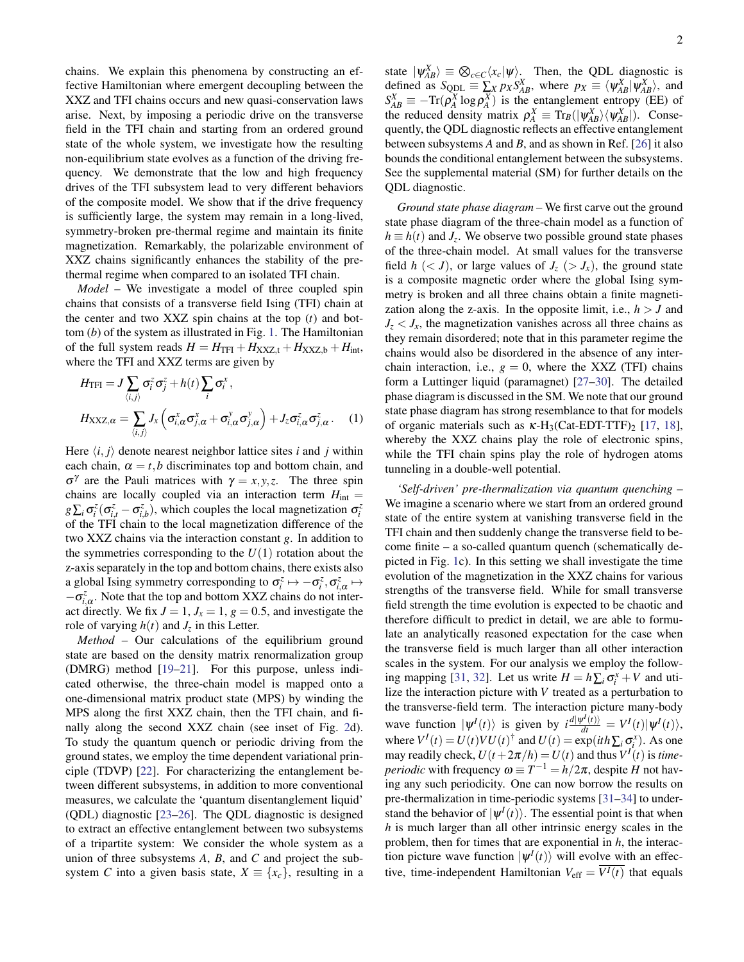chains. We explain this phenomena by constructing an effective Hamiltonian where emergent decoupling between the XXZ and TFI chains occurs and new quasi-conservation laws arise. Next, by imposing a periodic drive on the transverse field in the TFI chain and starting from an ordered ground state of the whole system, we investigate how the resulting non-equilibrium state evolves as a function of the driving frequency. We demonstrate that the low and high frequency drives of the TFI subsystem lead to very different behaviors of the composite model. We show that if the drive frequency is sufficiently large, the system may remain in a long-lived, symmetry-broken pre-thermal regime and maintain its finite magnetization. Remarkably, the polarizable environment of XXZ chains significantly enhances the stability of the prethermal regime when compared to an isolated TFI chain.

*Model –* We investigate a model of three coupled spin chains that consists of a transverse field Ising (TFI) chain at the center and two XXZ spin chains at the top (*t*) and bottom (*b*) of the system as illustrated in Fig. 1. The Hamiltonian of the full system reads  $H = H_{\text{TFI}} + H_{\text{XXZ,t}} + H_{\text{XXZ,b}} + H_{\text{int}},$ where the TFI and XXZ terms are given by

$$
H_{\text{TFI}} = J \sum_{\langle i,j \rangle} \sigma_i^z \sigma_j^z + h(t) \sum_i \sigma_i^x,
$$
  
\n
$$
H_{\text{XXZ},\alpha} = \sum_{\langle i,j \rangle} J_x \left( \sigma_{i,\alpha}^x \sigma_{j,\alpha}^x + \sigma_{i,\alpha}^y \sigma_{j,\alpha}^y \right) + J_z \sigma_{i,\alpha}^z \sigma_{j,\alpha}^z.
$$
 (1)

Here  $\langle i, j \rangle$  denote nearest neighbor lattice sites *i* and *j* within each chain,  $\alpha = t$ , *b* discriminates top and bottom chain, and σ γ are the Pauli matrices with γ = *x*, *y*,*z*. The three spin chains are locally coupled via an interaction term  $H<sub>int</sub>$  =  $g\sum_i \sigma_i^z(\sigma_{i,t}^z - \sigma_{i,b}^z)$ , which couples the local magnetization  $\sigma_i^z$ of the TFI chain to the local magnetization difference of the two XXZ chains via the interaction constant *g*. In addition to the symmetries corresponding to the  $U(1)$  rotation about the z-axis separately in the top and bottom chains, there exists also a global Ising symmetry corresponding to  $\sigma_i^z \mapsto -\sigma_i^z, \sigma_{i,\alpha}^z \mapsto$  $-\sigma_{i,\alpha}^z$ . Note that the top and bottom XXZ chains do not interact directly. We fix  $J = 1$ ,  $J_x = 1$ ,  $g = 0.5$ , and investigate the role of varying  $h(t)$  and  $J_z$  in this Letter.

*Method –* Our calculations of the equilibrium ground state are based on the density matrix renormalization group (DMRG) method [19–21]. For this purpose, unless indicated otherwise, the three-chain model is mapped onto a one-dimensional matrix product state (MPS) by winding the MPS along the first XXZ chain, then the TFI chain, and finally along the second XXZ chain (see inset of Fig. 2d). To study the quantum quench or periodic driving from the ground states, we employ the time dependent variational principle (TDVP) [22]. For characterizing the entanglement between different subsystems, in addition to more conventional measures, we calculate the 'quantum disentanglement liquid' (QDL) diagnostic [23–26]. The QDL diagnostic is designed to extract an effective entanglement between two subsystems of a tripartite system: We consider the whole system as a union of three subsystems *A*, *B*, and *C* and project the subsystem *C* into a given basis state,  $X \equiv \{x_c\}$ , resulting in a

state  $|\psi_{AB}^X\rangle \equiv \bigotimes_{c \in C} \langle x_c | \psi \rangle$ . Then, the QDL diagnostic is defined as  $S_{QDL} \equiv \sum_{x} p_X S_{AB}^X$ , where  $p_X \equiv \langle \psi_{AB}^X | \psi_{AB}^X \rangle$ , and  $S_{AB}^X \equiv -\text{Tr}(\rho_A^X \log \rho_A^X)$  is the entanglement entropy (EE) of the reduced density matrix  $\rho_A^X \equiv \text{Tr}_B(|\psi_{AB}^X\rangle \langle \psi_{AB}^X|)$ . Consequently, the QDL diagnostic reflects an effective entanglement between subsystems *A* and *B*, and as shown in Ref. [26] it also bounds the conditional entanglement between the subsystems. See the supplemental material (SM) for further details on the QDL diagnostic.

*Ground state phase diagram –* We first carve out the ground state phase diagram of the three-chain model as a function of  $h \equiv h(t)$  and *J*<sub>*z*</sub>. We observe two possible ground state phases of the three-chain model. At small values for the transverse field  $h \, \langle \langle J \rangle$ , or large values of  $J_z \, \langle \rangle J_x$ , the ground state is a composite magnetic order where the global Ising symmetry is broken and all three chains obtain a finite magnetization along the z-axis. In the opposite limit, i.e.,  $h > J$  and  $J_z < J_x$ , the magnetization vanishes across all three chains as they remain disordered; note that in this parameter regime the chains would also be disordered in the absence of any interchain interaction, i.e.,  $g = 0$ , where the XXZ (TFI) chains form a Luttinger liquid (paramagnet) [27–30]. The detailed phase diagram is discussed in the SM. We note that our ground state phase diagram has strong resemblance to that for models of organic materials such as  $\kappa$ -H<sub>3</sub>(Cat-EDT-TTF)<sub>2</sub> [17, 18], whereby the XXZ chains play the role of electronic spins, while the TFI chain spins play the role of hydrogen atoms tunneling in a double-well potential.

*'Self-driven' pre-thermalization via quantum quenching –* We imagine a scenario where we start from an ordered ground state of the entire system at vanishing transverse field in the TFI chain and then suddenly change the transverse field to become finite – a so-called quantum quench (schematically depicted in Fig. 1c). In this setting we shall investigate the time evolution of the magnetization in the XXZ chains for various strengths of the transverse field. While for small transverse field strength the time evolution is expected to be chaotic and therefore difficult to predict in detail, we are able to formulate an analytically reasoned expectation for the case when the transverse field is much larger than all other interaction scales in the system. For our analysis we employ the following mapping [31, 32]. Let us write  $H = h \sum_i \sigma_i^x + V$  and utilize the interaction picture with *V* treated as a perturbation to the transverse-field term. The interaction picture many-body wave function  $|\psi^I(t)\rangle$  is given by  $i\frac{d|\psi^I(t)\rangle}{dt} = V^I(t)|\psi^I(t)\rangle$ , where  $V^I(t) = U(t)VU(t)^{\dagger}$  and  $U(t) = \exp(ith\sum_i \sigma_i^x)$ . As one may readily check,  $U(t + 2\pi/h) = U(t)$  and thus  $V^{I}(t)$  is *timeperiodic* with frequency  $\omega \equiv T^{-1} = h/2\pi$ , despite *H* not having any such periodicity. One can now borrow the results on pre-thermalization in time-periodic systems [31–34] to understand the behavior of  $|\psi^I(t)\rangle$ . The essential point is that when *h* is much larger than all other intrinsic energy scales in the problem, then for times that are exponential in *h*, the interaction picture wave function  $|\psi^I(t)\rangle$  will evolve with an effective, time-independent Hamiltonian  $V_{\text{eff}} = \overline{V^{I}(t)}$  that equals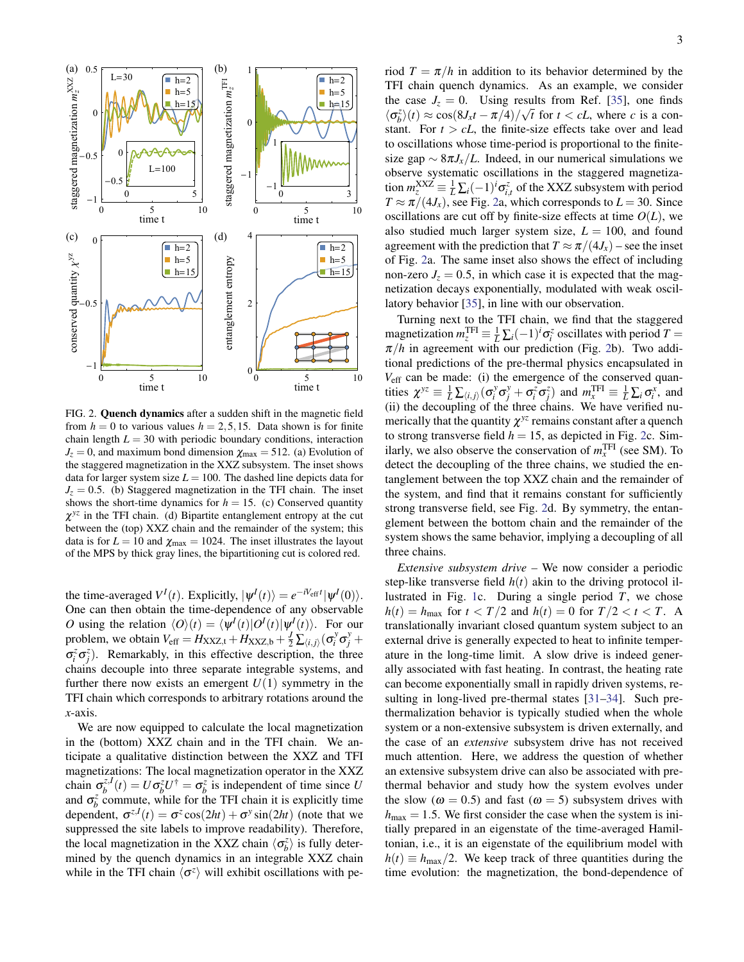

FIG. 2. Quench dynamics after a sudden shift in the magnetic field from  $h = 0$  to various values  $h = 2, 5, 15$ . Data shown is for finite chain length  $L = 30$  with periodic boundary conditions, interaction  $J_z = 0$ , and maximum bond dimension  $\chi_{\text{max}} = 512$ . (a) Evolution of the staggered magnetization in the XXZ subsystem. The inset shows data for larger system size  $L = 100$ . The dashed line depicts data for  $J_z = 0.5$ . (b) Staggered magnetization in the TFI chain. The inset shows the short-time dynamics for  $h = 15$ . (c) Conserved quantity  $\chi^{yz}$  in the TFI chain. (d) Bipartite entanglement entropy at the cut between the (top) XXZ chain and the remainder of the system; this data is for  $L = 10$  and  $\chi_{\text{max}} = 1024$ . The inset illustrates the layout of the MPS by thick gray lines, the bipartitioning cut is colored red.

the time-averaged  $V^I(t)$ . Explicitly,  $|\psi^I(t)\rangle = e^{-iV_{\text{eff}}t} |\psi^I(0)\rangle$ . One can then obtain the time-dependence of any observable *O* using the relation  $\langle O \rangle(t) = \langle \psi^I(t) | O^I(t) | \psi^I(t) \rangle$ . For our problem, we obtain  $V_{\text{eff}} = H_{\text{XXZ,t}} + H_{\text{XXZ,b}} + \frac{1}{2} \sum_{i,j} \left( \sigma_i^y \sigma_j^y + \sigma_j^z \right)$  $\sigma_i^z \sigma_j^z$ ). Remarkably, in this effective description, the three chains decouple into three separate integrable systems, and further there now exists an emergent  $U(1)$  symmetry in the TFI chain which corresponds to arbitrary rotations around the *x*-axis.

We are now equipped to calculate the local magnetization in the (bottom) XXZ chain and in the TFI chain. We anticipate a qualitative distinction between the XXZ and TFI magnetizations: The local magnetization operator in the XXZ chain  $\sigma_b^{z,l}(t) = U \sigma_b^{z} U^{\dagger} = \sigma_b^{z}$  is independent of time since *U* and  $\sigma_b^z$  commute, while for the TFI chain it is explicitly time dependent,  $\sigma^{z,I}(t) = \sigma^z \cos(2ht) + \sigma^y \sin(2ht)$  (note that we suppressed the site labels to improve readability). Therefore, the local magnetization in the XXZ chain  $\langle \sigma_b^z \rangle$  is fully determined by the quench dynamics in an integrable XXZ chain while in the TFI chain  $\langle \sigma^z \rangle$  will exhibit oscillations with period  $T = \pi/h$  in addition to its behavior determined by the TFI chain quench dynamics. As an example, we consider the case  $J_z = 0$ . Using results from Ref. [35], one finds  $\langle \sigma_b^z \rangle(t) \approx \cos(8J_x t - \pi/4) / \sqrt{t}$  for  $t < cL$ , where *c* is a constant. For  $t > cL$ , the finite-size effects take over and lead to oscillations whose time-period is proportional to the finitesize gap  $\sim 8\pi J_x/L$ . Indeed, in our numerical simulations we observe systematic oscillations in the staggered magnetization  $m_{z}^{XXZ} \equiv \frac{1}{L} \sum_i (-1)^i \sigma_{i,t}^z$  of the XXZ subsystem with period  $T \approx \pi/(4J_x)$ , see Fig. 2a, which corresponds to  $L = 30$ . Since oscillations are cut off by finite-size effects at time  $O(L)$ , we also studied much larger system size,  $L = 100$ , and found agreement with the prediction that  $T \approx \pi/(4J_x)$  – see the inset of Fig. 2a. The same inset also shows the effect of including non-zero  $J_z = 0.5$ , in which case it is expected that the magnetization decays exponentially, modulated with weak oscillatory behavior [35], in line with our observation.

Turning next to the TFI chain, we find that the staggered magnetization  $m_{z}^{\text{TFI}} \equiv \frac{1}{L} \sum_{i} (-1)^{i} \sigma_{i}^{z}$  oscillates with period  $T =$  $\pi/h$  in agreement with our prediction (Fig. 2b). Two additional predictions of the pre-thermal physics encapsulated in *V*<sub>eff</sub> can be made: (i) the emergence of the conserved quantities  $\chi^{yz} \equiv \frac{1}{L} \sum_{(i,j)} (\sigma_i^y \sigma_j^y + \sigma_i^z \sigma_j^z)$  and  $m_x^{\text{TFI}} \equiv \frac{1}{L} \sum_i \sigma_i^x$ , and (ii) the decoupling of the three chains. We have verified numerically that the quantity  $\chi$ <sup>yz</sup> remains constant after a quench to strong transverse field  $h = 15$ , as depicted in Fig. 2c. Similarly, we also observe the conservation of  $m_x^{\text{TFI}}$  (see SM). To detect the decoupling of the three chains, we studied the entanglement between the top XXZ chain and the remainder of the system, and find that it remains constant for sufficiently strong transverse field, see Fig. 2d. By symmetry, the entanglement between the bottom chain and the remainder of the system shows the same behavior, implying a decoupling of all three chains.

*Extensive subsystem drive –* We now consider a periodic step-like transverse field  $h(t)$  akin to the driving protocol illustrated in Fig. 1c. During a single period *T*, we chose  $h(t) = h_{\text{max}}$  for  $t < T/2$  and  $h(t) = 0$  for  $T/2 < t < T$ . A translationally invariant closed quantum system subject to an external drive is generally expected to heat to infinite temperature in the long-time limit. A slow drive is indeed generally associated with fast heating. In contrast, the heating rate can become exponentially small in rapidly driven systems, resulting in long-lived pre-thermal states [31–34]. Such prethermalization behavior is typically studied when the whole system or a non-extensive subsystem is driven externally, and the case of an *extensive* subsystem drive has not received much attention. Here, we address the question of whether an extensive subsystem drive can also be associated with prethermal behavior and study how the system evolves under the slow ( $\omega = 0.5$ ) and fast ( $\omega = 5$ ) subsystem drives with  $h_{\text{max}} = 1.5$ . We first consider the case when the system is initially prepared in an eigenstate of the time-averaged Hamiltonian, i.e., it is an eigenstate of the equilibrium model with  $h(t) \equiv h_{\text{max}}/2$ . We keep track of three quantities during the time evolution: the magnetization, the bond-dependence of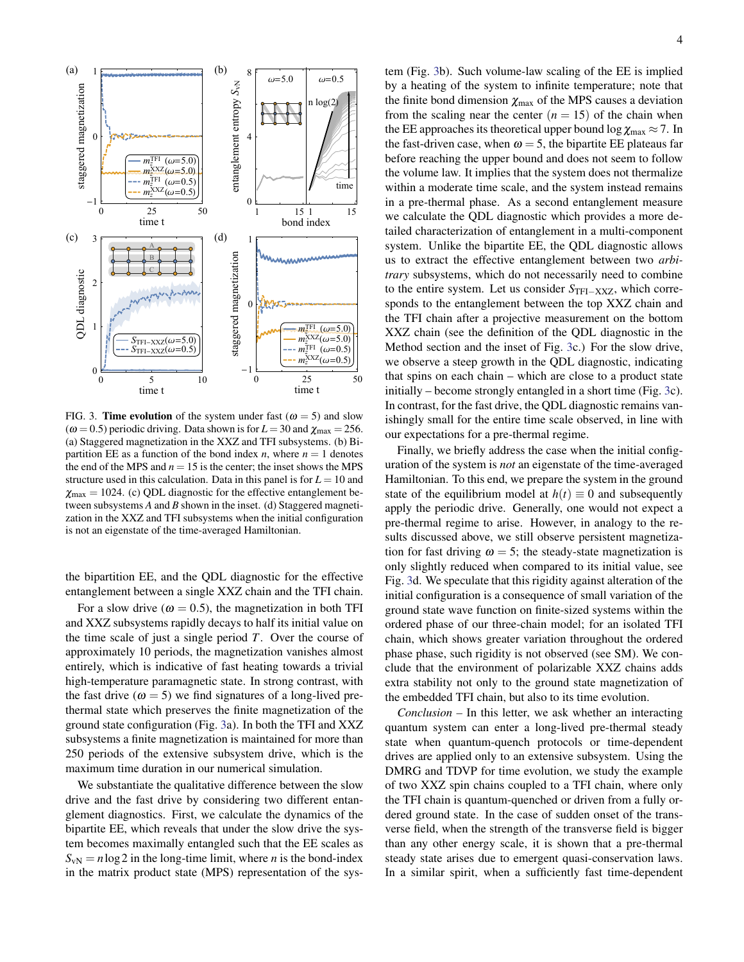

FIG. 3. Time evolution of the system under fast ( $\omega = 5$ ) and slow ( $\omega$  = 0.5) periodic driving. Data shown is for  $L = 30$  and  $\chi_{\text{max}} = 256$ . (a) Staggered magnetization in the XXZ and TFI subsystems. (b) Bipartition EE as a function of the bond index *n*, where  $n = 1$  denotes the end of the MPS and  $n = 15$  is the center; the inset shows the MPS structure used in this calculation. Data in this panel is for  $L = 10$  and  $\chi_{\text{max}} = 1024$ . (c) QDL diagnostic for the effective entanglement between subsystems *A* and *B* shown in the inset. (d) Staggered magnetization in the XXZ and TFI subsystems when the initial configuration is not an eigenstate of the time-averaged Hamiltonian.

the bipartition EE, and the QDL diagnostic for the effective entanglement between a single XXZ chain and the TFI chain.

For a slow drive ( $\omega = 0.5$ ), the magnetization in both TFI and XXZ subsystems rapidly decays to half its initial value on the time scale of just a single period *T*. Over the course of approximately 10 periods, the magnetization vanishes almost entirely, which is indicative of fast heating towards a trivial high-temperature paramagnetic state. In strong contrast, with the fast drive ( $\omega = 5$ ) we find signatures of a long-lived prethermal state which preserves the finite magnetization of the ground state configuration (Fig. 3a). In both the TFI and XXZ subsystems a finite magnetization is maintained for more than 250 periods of the extensive subsystem drive, which is the maximum time duration in our numerical simulation.

We substantiate the qualitative difference between the slow drive and the fast drive by considering two different entanglement diagnostics. First, we calculate the dynamics of the bipartite EE, which reveals that under the slow drive the system becomes maximally entangled such that the EE scales as  $S_{vN} = n \log 2$  in the long-time limit, where *n* is the bond-index in the matrix product state (MPS) representation of the system (Fig. 3b). Such volume-law scaling of the EE is implied by a heating of the system to infinite temperature; note that the finite bond dimension  $\chi_{\text{max}}$  of the MPS causes a deviation from the scaling near the center  $(n = 15)$  of the chain when the EE approaches its theoretical upper bound log  $\chi_{\text{max}} \approx 7$ . In the fast-driven case, when  $\omega = 5$ , the bipartite EE plateaus far before reaching the upper bound and does not seem to follow the volume law. It implies that the system does not thermalize within a moderate time scale, and the system instead remains in a pre-thermal phase. As a second entanglement measure we calculate the QDL diagnostic which provides a more detailed characterization of entanglement in a multi-component system. Unlike the bipartite EE, the QDL diagnostic allows us to extract the effective entanglement between two *arbitrary* subsystems, which do not necessarily need to combine to the entire system. Let us consider *S*TFI−XXZ, which corresponds to the entanglement between the top XXZ chain and the TFI chain after a projective measurement on the bottom XXZ chain (see the definition of the QDL diagnostic in the Method section and the inset of Fig. 3c.) For the slow drive, we observe a steep growth in the QDL diagnostic, indicating that spins on each chain – which are close to a product state initially – become strongly entangled in a short time (Fig. 3c). In contrast, for the fast drive, the QDL diagnostic remains vanishingly small for the entire time scale observed, in line with our expectations for a pre-thermal regime.

Finally, we briefly address the case when the initial configuration of the system is *not* an eigenstate of the time-averaged Hamiltonian. To this end, we prepare the system in the ground state of the equilibrium model at  $h(t) \equiv 0$  and subsequently apply the periodic drive. Generally, one would not expect a pre-thermal regime to arise. However, in analogy to the results discussed above, we still observe persistent magnetization for fast driving  $\omega = 5$ ; the steady-state magnetization is only slightly reduced when compared to its initial value, see Fig. 3d. We speculate that this rigidity against alteration of the initial configuration is a consequence of small variation of the ground state wave function on finite-sized systems within the ordered phase of our three-chain model; for an isolated TFI chain, which shows greater variation throughout the ordered phase phase, such rigidity is not observed (see SM). We conclude that the environment of polarizable XXZ chains adds extra stability not only to the ground state magnetization of the embedded TFI chain, but also to its time evolution.

*Conclusion –* In this letter, we ask whether an interacting quantum system can enter a long-lived pre-thermal steady state when quantum-quench protocols or time-dependent drives are applied only to an extensive subsystem. Using the DMRG and TDVP for time evolution, we study the example of two XXZ spin chains coupled to a TFI chain, where only the TFI chain is quantum-quenched or driven from a fully ordered ground state. In the case of sudden onset of the transverse field, when the strength of the transverse field is bigger than any other energy scale, it is shown that a pre-thermal steady state arises due to emergent quasi-conservation laws. In a similar spirit, when a sufficiently fast time-dependent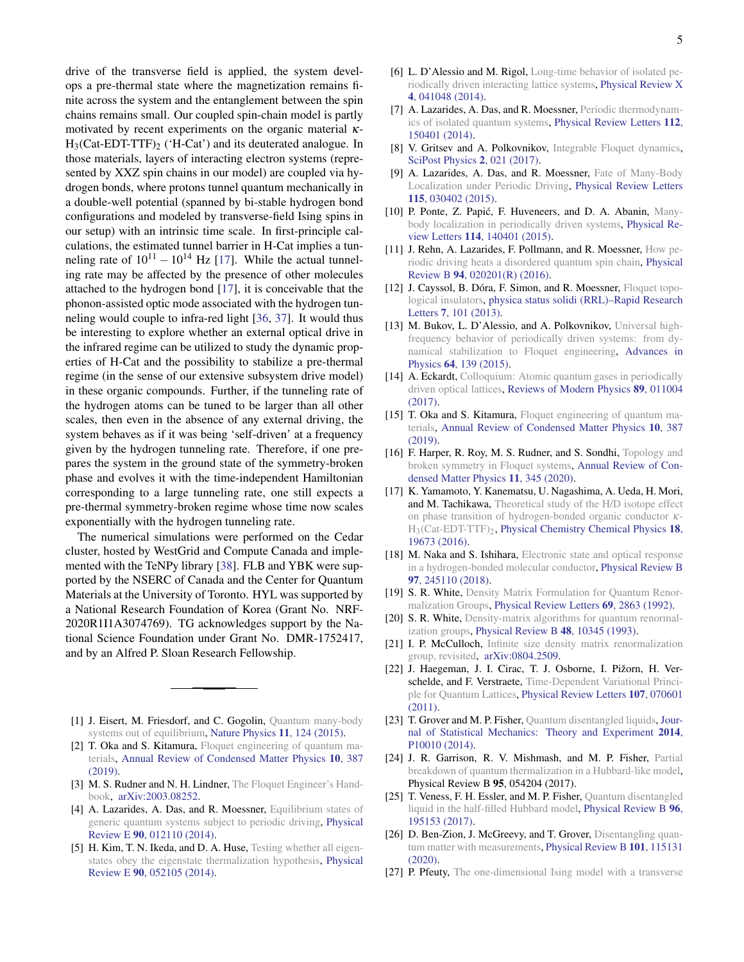drive of the transverse field is applied, the system develops a pre-thermal state where the magnetization remains finite across the system and the entanglement between the spin chains remains small. Our coupled spin-chain model is partly motivated by recent experiments on the organic material κ- $H_3(Cat-EDT-TTF)$ <sub>2</sub> ('H-Cat') and its deuterated analogue. In those materials, layers of interacting electron systems (represented by XXZ spin chains in our model) are coupled via hydrogen bonds, where protons tunnel quantum mechanically in a double-well potential (spanned by bi-stable hydrogen bond configurations and modeled by transverse-field Ising spins in our setup) with an intrinsic time scale. In first-principle calculations, the estimated tunnel barrier in H-Cat implies a tunneling rate of  $10^{11} - 10^{14}$  Hz [17]. While the actual tunneling rate may be affected by the presence of other molecules attached to the hydrogen bond [17], it is conceivable that the phonon-assisted optic mode associated with the hydrogen tunneling would couple to infra-red light [36, 37]. It would thus be interesting to explore whether an external optical drive in the infrared regime can be utilized to study the dynamic properties of H-Cat and the possibility to stabilize a pre-thermal regime (in the sense of our extensive subsystem drive model) in these organic compounds. Further, if the tunneling rate of the hydrogen atoms can be tuned to be larger than all other scales, then even in the absence of any external driving, the system behaves as if it was being 'self-driven' at a frequency given by the hydrogen tunneling rate. Therefore, if one prepares the system in the ground state of the symmetry-broken phase and evolves it with the time-independent Hamiltonian corresponding to a large tunneling rate, one still expects a pre-thermal symmetry-broken regime whose time now scales exponentially with the hydrogen tunneling rate.

The numerical simulations were performed on the Cedar cluster, hosted by WestGrid and Compute Canada and implemented with the TeNPy library [38]. FLB and YBK were supported by the NSERC of Canada and the Center for Quantum Materials at the University of Toronto. HYL was supported by a National Research Foundation of Korea (Grant No. NRF-2020R1I1A3074769). TG acknowledges support by the National Science Foundation under Grant No. DMR-1752417, and by an Alfred P. Sloan Research Fellowship.

- [1] J. Eisert, M. Friesdorf, and C. Gogolin, Quantum many-body systems out of equilibrium, Nature Physics 11, 124 (2015).
- [2] T. Oka and S. Kitamura, Floquet engineering of quantum materials, Annual Review of Condensed Matter Physics 10, 387 (2019).
- [3] M. S. Rudner and N. H. Lindner, The Floquet Engineer's Handbook, arXiv:2003.08252.
- [4] A. Lazarides, A. Das, and R. Moessner, Equilibrium states of generic quantum systems subject to periodic driving, Physical Review E 90, 012110 (2014).
- [5] H. Kim, T. N. Ikeda, and D. A. Huse, Testing whether all eigenstates obey the eigenstate thermalization hypothesis, Physical Review E 90, 052105 (2014).
- [6] L. D'Alessio and M. Rigol, Long-time behavior of isolated periodically driven interacting lattice systems, Physical Review X 4, 041048 (2014).
- [7] A. Lazarides, A. Das, and R. Moessner, Periodic thermodynamics of isolated quantum systems, Physical Review Letters 112, 150401 (2014).
- [8] V. Gritsev and A. Polkovnikov, Integrable Floquet dynamics, SciPost Physics 2, 021 (2017).
- [9] A. Lazarides, A. Das, and R. Moessner, Fate of Many-Body Localization under Periodic Driving, Physical Review Letters 115, 030402 (2015).
- [10] P. Ponte, Z. Papić, F. Huveneers, and D. A. Abanin, Manybody localization in periodically driven systems, Physical Review Letters 114, 140401 (2015).
- [11] J. Rehn, A. Lazarides, F. Pollmann, and R. Moessner, How periodic driving heats a disordered quantum spin chain, Physical Review B 94, 020201(R) (2016).
- [12] J. Cayssol, B. Dóra, F. Simon, and R. Moessner, Floquet topological insulators, physica status solidi (RRL)–Rapid Research Letters 7, 101 (2013).
- [13] M. Bukov, L. D'Alessio, and A. Polkovnikov, Universal highfrequency behavior of periodically driven systems: from dynamical stabilization to Floquet engineering, Advances in Physics 64, 139 (2015).
- [14] A. Eckardt, Colloquium: Atomic quantum gases in periodically driven optical lattices, Reviews of Modern Physics 89, 011004 (2017).
- [15] T. Oka and S. Kitamura, Floquet engineering of quantum materials, Annual Review of Condensed Matter Physics 10, 387 (2019).
- [16] F. Harper, R. Roy, M. S. Rudner, and S. Sondhi, Topology and broken symmetry in Floquet systems, Annual Review of Condensed Matter Physics 11, 345 (2020).
- [17] K. Yamamoto, Y. Kanematsu, U. Nagashima, A. Ueda, H. Mori, and M. Tachikawa, Theoretical study of the H/D isotope effect on phase transition of hydrogen-bonded organic conductor κ-H3(Cat-EDT-TTF)2, Physical Chemistry Chemical Physics 18, 19673 (2016).
- [18] M. Naka and S. Ishihara, Electronic state and optical response in a hydrogen-bonded molecular conductor, Physical Review B 97, 245110 (2018).
- [19] S. R. White, Density Matrix Formulation for Quantum Renormalization Groups, Physical Review Letters 69, 2863 (1992).
- [20] S. R. White, Density-matrix algorithms for quantum renormalization groups, Physical Review B 48, 10345 (1993).
- [21] I. P. McCulloch, Infinite size density matrix renormalization group, revisited, arXiv:0804.2509.
- [22] J. Haegeman, J. I. Cirac, T. J. Osborne, I. Pižorn, H. Verschelde, and F. Verstraete, Time-Dependent Variational Principle for Quantum Lattices, Physical Review Letters 107, 070601 (2011).
- [23] T. Grover and M. P. Fisher, Quantum disentangled liquids, Journal of Statistical Mechanics: Theory and Experiment 2014, P10010 (2014).
- [24] J. R. Garrison, R. V. Mishmash, and M. P. Fisher, Partial breakdown of quantum thermalization in a Hubbard-like model, Physical Review B 95, 054204 (2017).
- [25] T. Veness, F. H. Essler, and M. P. Fisher, Quantum disentangled liquid in the half-filled Hubbard model, Physical Review B 96, 195153 (2017).
- [26] D. Ben-Zion, J. McGreevy, and T. Grover, Disentangling quantum matter with measurements, Physical Review B 101, 115131 (2020).
- [27] P. Pfeuty, The one-dimensional Ising model with a transverse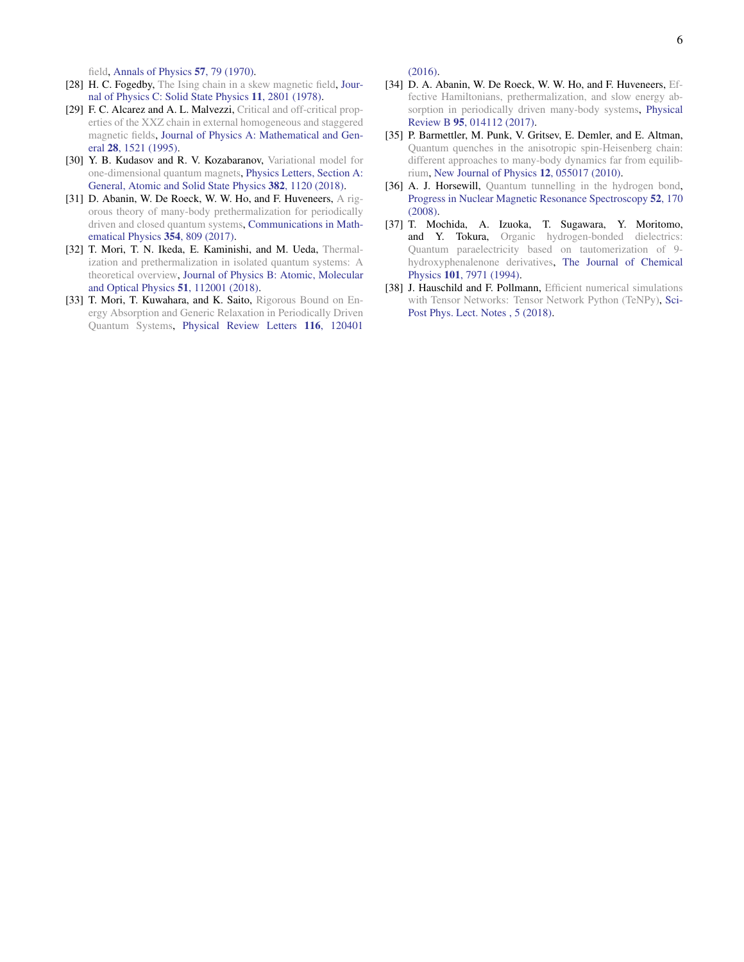field, Annals of Physics 57, 79 (1970).

- [28] H. C. Fogedby, The Ising chain in a skew magnetic field, Journal of Physics C: Solid State Physics 11, 2801 (1978).
- [29] F. C. Alcarez and A. L. Malvezzi, Critical and off-critical properties of the XXZ chain in external homogeneous and staggered magnetic fields, Journal of Physics A: Mathematical and General 28, 1521 (1995).
- [30] Y. B. Kudasov and R. V. Kozabaranov, Variational model for one-dimensional quantum magnets, Physics Letters, Section A: General, Atomic and Solid State Physics 382, 1120 (2018).
- [31] D. Abanin, W. De Roeck, W. W. Ho, and F. Huveneers, A rigorous theory of many-body prethermalization for periodically driven and closed quantum systems, Communications in Mathematical Physics 354, 809 (2017).
- [32] T. Mori, T. N. Ikeda, E. Kaminishi, and M. Ueda, Thermalization and prethermalization in isolated quantum systems: A theoretical overview, Journal of Physics B: Atomic, Molecular and Optical Physics 51, 112001 (2018).
- [33] T. Mori, T. Kuwahara, and K. Saito, Rigorous Bound on Energy Absorption and Generic Relaxation in Periodically Driven Quantum Systems, Physical Review Letters 116, 120401

(2016).

- [34] D. A. Abanin, W. De Roeck, W. W. Ho, and F. Huveneers, Effective Hamiltonians, prethermalization, and slow energy absorption in periodically driven many-body systems, Physical Review B 95, 014112 (2017).
- [35] P. Barmettler, M. Punk, V. Gritsev, E. Demler, and E. Altman, Quantum quenches in the anisotropic spin-Heisenberg chain: different approaches to many-body dynamics far from equilibrium, New Journal of Physics 12, 055017 (2010).
- [36] A. J. Horsewill, Quantum tunnelling in the hydrogen bond, Progress in Nuclear Magnetic Resonance Spectroscopy 52, 170 (2008).
- [37] T. Mochida, A. Izuoka, T. Sugawara, Y. Moritomo, and Y. Tokura, Organic hydrogen-bonded dielectrics: Quantum paraelectricity based on tautomerization of 9 hydroxyphenalenone derivatives, The Journal of Chemical Physics 101, 7971 (1994).
- [38] J. Hauschild and F. Pollmann, Efficient numerical simulations with Tensor Networks: Tensor Network Python (TeNPy), Sci-Post Phys. Lect. Notes , 5 (2018).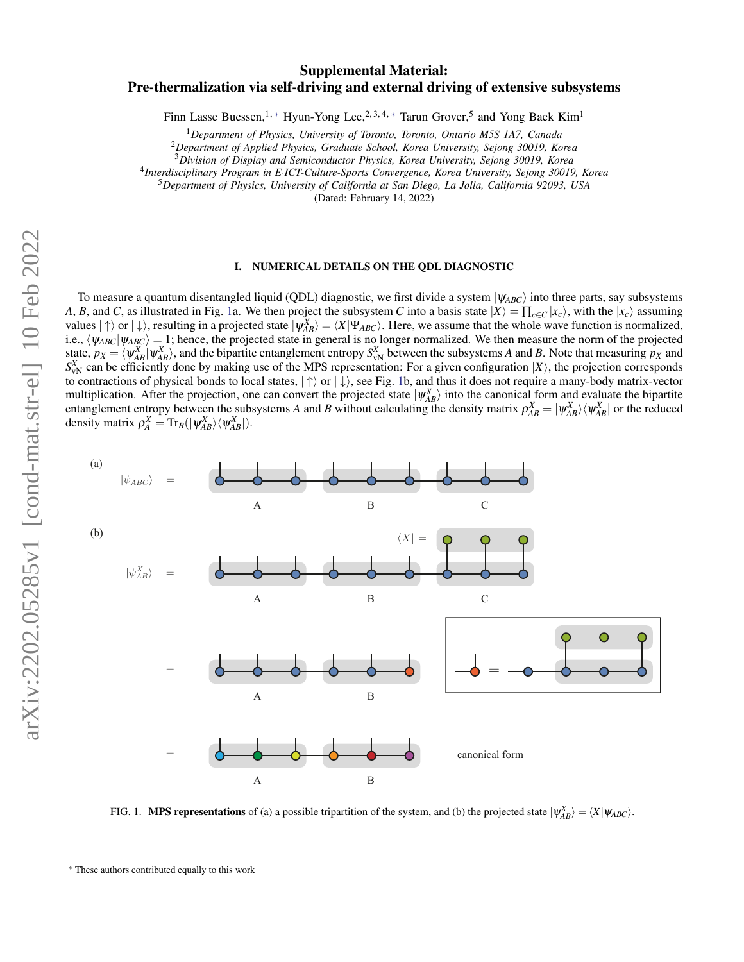# arXiv:2202.05285v1 [cond-mat.str-el] 10 Feb 2022 arXiv:2202.05285v1 [cond-mat.str-el] 10 Feb 2022

# Supplemental Material: Pre-thermalization via self-driving and external driving of extensive subsystems

Finn Lasse Buessen,<sup>1,\*</sup> Hyun-Yong Lee,<sup>2,3,4,\*</sup> Tarun Grover,<sup>5</sup> and Yong Baek Kim<sup>1</sup>

<sup>1</sup>*Department of Physics, University of Toronto, Toronto, Ontario M5S 1A7, Canada*

<sup>2</sup>*Department of Applied Physics, Graduate School, Korea University, Sejong 30019, Korea*

<sup>3</sup>*Division of Display and Semiconductor Physics, Korea University, Sejong 30019, Korea*

4 *Interdisciplinary Program in E*·*ICT-Culture-Sports Convergence, Korea University, Sejong 30019, Korea*

<sup>5</sup>*Department of Physics, University of California at San Diego, La Jolla, California 92093, USA*

(Dated: February 14, 2022)

## I. NUMERICAL DETAILS ON THE QDL DIAGNOSTIC

To measure a quantum disentangled liquid (QDL) diagnostic, we first divide a system  $|\psi_{ABC}\rangle$  into three parts, say subsystems *A*, *B*, and *C*, as illustrated in Fig. 1a. We then project the subsystem *C* into a basis state  $|X\rangle = \prod_{c \in C} |x_c\rangle$ , with the  $|x_c\rangle$  assuming values  $|\uparrow\rangle$  or  $|\downarrow\rangle$ , resulting in a projected state  $|\psi_{AB}^X\rangle = \langle X|\Psi_{ABC}\rangle$ . Here, we assume that the whole wave function is normalized, i.e.,  $\langle \psi_{ABC} | \psi_{ABC} \rangle = 1$ ; hence, the projected state in general is no longer normalized. We then measure the norm of the projected state,  $p_X = \langle \psi_{AB}^X | \psi_{AB}^X \rangle$ , and the bipartite entanglement entropy  $S_{\rm vN}^X$  between the subsystems *A* and *B*. Note that measuring  $p_X$  and  $S_{\text{vN}}^X$  can be efficiently done by making use of the MPS representation: For a given configuration  $|X\rangle$ , the projection corresponds to contractions of physical bonds to local states,  $|\uparrow\rangle$  or  $|\downarrow\rangle$ , see Fig. 1b, and thus it does not require a many-body matrix-vector multiplication. After the projection, one can convert the projected state  $|\psi_{AB}^X\rangle$  into the canonical form and evaluate the bipartite entanglement entropy between the subsystems *A* and *B* without calculating the density matrix  $\rho_{AB}^X = |\psi_{AB}^X\rangle \langle \psi_{AB}^X|$  or the reduced density matrix  $\rho_A^X = \text{Tr}_B(|\psi_{AB}^X\rangle \langle \psi_{AB}^X|).$ 



FIG. 1. **MPS representations** of (a) a possible tripartition of the system, and (b) the projected state  $|\psi_{AB}^X\rangle = \langle X|\psi_{ABC}\rangle$ .

<sup>∗</sup> These authors contributed equally to this work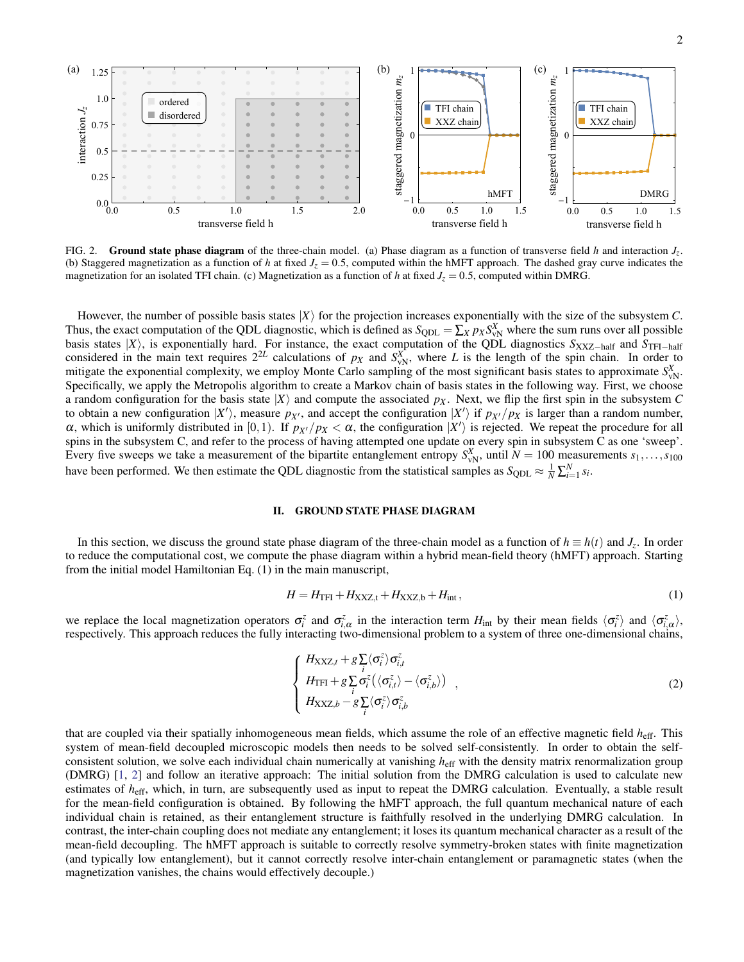

FIG. 2. Ground state phase diagram of the three-chain model. (a) Phase diagram as a function of transverse field *h* and interaction *Jz*. (b) Staggered magnetization as a function of *h* at fixed  $J_z = 0.5$ , computed within the hMFT approach. The dashed gray curve indicates the magnetization for an isolated TFI chain. (c) Magnetization as a function of *h* at fixed  $J_z = 0.5$ , computed within DMRG.

However, the number of possible basis states  $|X\rangle$  for the projection increases exponentially with the size of the subsystem *C*. Thus, the exact computation of the QDL diagnostic, which is defined as  $S_{QDL} = \sum_{X} p_X S_{vN}^X$  where the sum runs over all possible basis states |*X*i, is exponentially hard. For instance, the exact computation of the QDL diagnostics *S*XXZ−half and *S*TFI−half considered in the main text requires  $2^{2L}$  calculations of  $p_X$  and  $S_{vN}^X$ , where *L* is the length of the spin chain. In order to mitigate the exponential complexity, we employ Monte Carlo sampling of the most significant basis states to approximate  $S_{\rm vN}^X$ . Specifically, we apply the Metropolis algorithm to create a Markov chain of basis states in the following way. First, we choose a random configuration for the basis state  $|X\rangle$  and compute the associated  $p_X$ . Next, we flip the first spin in the subsystem C to obtain a new configuration  $|X'\rangle$ , measure  $p_{X'}$ , and accept the configuration  $|X'\rangle$  if  $p_{X'}/p_X$  is larger than a random number, α, which is uniformly distributed in [0,1). If  $p_{X'}/p_X < \alpha$ , the configuration  $|X'\rangle$  is rejected. We repeat the procedure for all spins in the subsystem C, and refer to the process of having attempted one update on every spin in subsystem C as one 'sweep'. Every five sweeps we take a measurement of the bipartite entanglement entropy  $S_{\text{vN}}^X$ , until  $N = 100$  measurements  $s_1, \ldots, s_{100}$ have been performed. We then estimate the QDL diagnostic from the statistical samples as  $S_{\text{QDL}} \approx \frac{1}{N} \sum_{i=1}^{N} s_i$ .

## II. GROUND STATE PHASE DIAGRAM

In this section, we discuss the ground state phase diagram of the three-chain model as a function of  $h \equiv h(t)$  and  $J_z$ . In order to reduce the computational cost, we compute the phase diagram within a hybrid mean-field theory (hMFT) approach. Starting from the initial model Hamiltonian Eq. (1) in the main manuscript,

$$
H = H_{\rm TFI} + H_{\rm XXZ,t} + H_{\rm XXZ,b} + H_{\rm int},\tag{1}
$$

we replace the local magnetization operators  $\sigma_i^z$  and  $\sigma_{i,\alpha}^z$  in the interaction term  $H_{\text{int}}$  by their mean fields  $\langle \sigma_i^z \rangle$  and  $\langle \sigma_{i,\alpha}^z \rangle$ , respectively. This approach reduces the fully interacting two-dimensional problem to a system of three one-dimensional chains,

$$
\begin{cases}\nH_{\text{XXZ},t} + g \sum_{i} \langle \sigma_{i}^{z} \rangle \sigma_{i,t}^{z} \\
H_{\text{TFI}} + g \sum_{i} \sigma_{i}^{z} \left( \langle \sigma_{i,t}^{z} \rangle - \langle \sigma_{i,b}^{z} \rangle \right) \\
H_{\text{XXZ},b} - g \sum_{i} \langle \sigma_{i}^{z} \rangle \sigma_{i,b}^{z}\n\end{cases} (2)
$$

that are coupled via their spatially inhomogeneous mean fields, which assume the role of an effective magnetic field *h*eff. This system of mean-field decoupled microscopic models then needs to be solved self-consistently. In order to obtain the selfconsistent solution, we solve each individual chain numerically at vanishing *h*eff with the density matrix renormalization group (DMRG) [1, 2] and follow an iterative approach: The initial solution from the DMRG calculation is used to calculate new estimates of *h*eff, which, in turn, are subsequently used as input to repeat the DMRG calculation. Eventually, a stable result for the mean-field configuration is obtained. By following the hMFT approach, the full quantum mechanical nature of each individual chain is retained, as their entanglement structure is faithfully resolved in the underlying DMRG calculation. In contrast, the inter-chain coupling does not mediate any entanglement; it loses its quantum mechanical character as a result of the mean-field decoupling. The hMFT approach is suitable to correctly resolve symmetry-broken states with finite magnetization (and typically low entanglement), but it cannot correctly resolve inter-chain entanglement or paramagnetic states (when the magnetization vanishes, the chains would effectively decouple.)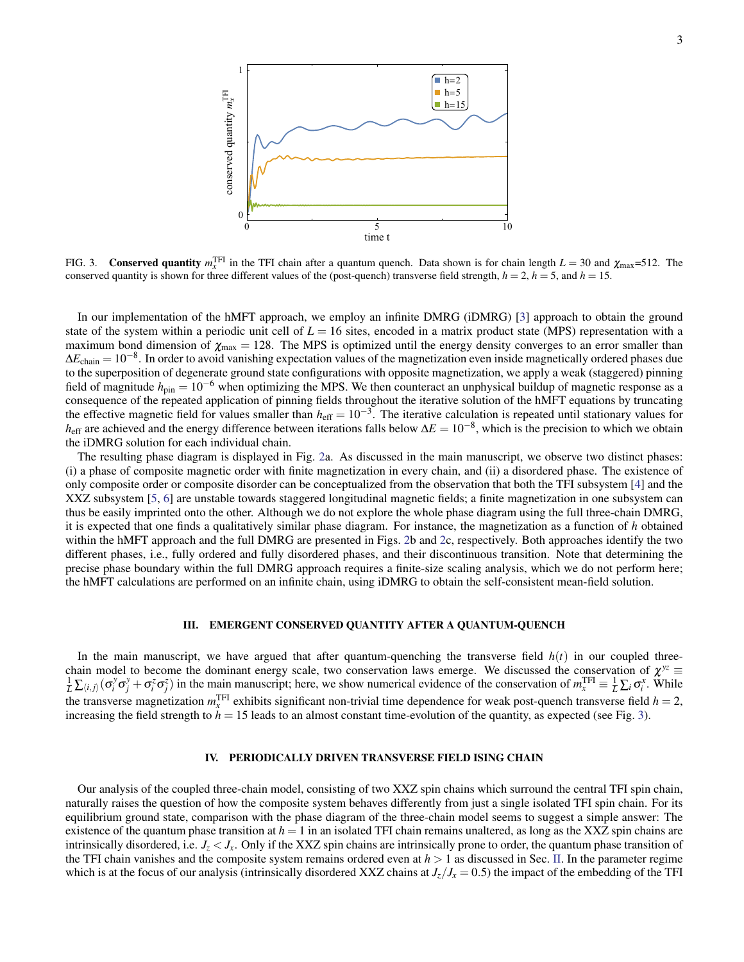

FIG. 3. Conserved quantity  $m_x^{\text{TFI}}$  in the TFI chain after a quantum quench. Data shown is for chain length  $L = 30$  and  $\chi_{\text{max}} = 512$ . The conserved quantity is shown for three different values of the (post-quench) transverse field strength,  $h = 2$ ,  $h = 5$ , and  $h = 15$ .

In our implementation of the hMFT approach, we employ an infinite DMRG (iDMRG) [3] approach to obtain the ground state of the system within a periodic unit cell of  $L = 16$  sites, encoded in a matrix product state (MPS) representation with a maximum bond dimension of  $\chi_{\text{max}} = 128$ . The MPS is optimized until the energy density converges to an error smaller than  $\Delta E_{chain} = 10^{-8}$ . In order to avoid vanishing expectation values of the magnetization even inside magnetically ordered phases due to the superposition of degenerate ground state configurations with opposite magnetization, we apply a weak (staggered) pinning field of magnitude  $h_{\text{pin}} = 10^{-6}$  when optimizing the MPS. We then counteract an unphysical buildup of magnetic response as a consequence of the repeated application of pinning fields throughout the iterative solution of the hMFT equations by truncating the effective magnetic field for values smaller than  $h_{\text{eff}} = 10^{-3}$ . The iterative calculation is repeated until stationary values for *h*<sub>eff</sub> are achieved and the energy difference between iterations falls below  $\Delta E = 10^{-8}$ , which is the precision to which we obtain the iDMRG solution for each individual chain.

The resulting phase diagram is displayed in Fig. 2a. As discussed in the main manuscript, we observe two distinct phases: (i) a phase of composite magnetic order with finite magnetization in every chain, and (ii) a disordered phase. The existence of only composite order or composite disorder can be conceptualized from the observation that both the TFI subsystem [4] and the XXZ subsystem [5, 6] are unstable towards staggered longitudinal magnetic fields; a finite magnetization in one subsystem can thus be easily imprinted onto the other. Although we do not explore the whole phase diagram using the full three-chain DMRG, it is expected that one finds a qualitatively similar phase diagram. For instance, the magnetization as a function of *h* obtained within the hMFT approach and the full DMRG are presented in Figs. 2b and 2c, respectively. Both approaches identify the two different phases, i.e., fully ordered and fully disordered phases, and their discontinuous transition. Note that determining the precise phase boundary within the full DMRG approach requires a finite-size scaling analysis, which we do not perform here; the hMFT calculations are performed on an infinite chain, using iDMRG to obtain the self-consistent mean-field solution.

### III. EMERGENT CONSERVED QUANTITY AFTER A QUANTUM-QUENCH

In the main manuscript, we have argued that after quantum-quenching the transverse field  $h(t)$  in our coupled threechain model to become the dominant energy scale, two conservation laws emerge. We discussed the conservation of  $\chi^{yz} =$  $\frac{1}{L}\sum_{(i,j)}(\sigma_i^y \sigma_j^y + \sigma_i^z \sigma_j^z)$  in the main manuscript; here, we show numerical evidence of the conservation of  $m_x^{\text{TFI}} \equiv \frac{1}{L}\sum_i \sigma_i^x$ . While the transverse magnetization  $m_x^{\text{TFI}}$  exhibits significant non-trivial time dependence for weak post-quench transverse field  $h = 2$ , increasing the field strength to  $h = 15$  leads to an almost constant time-evolution of the quantity, as expected (see Fig. 3).

### IV. PERIODICALLY DRIVEN TRANSVERSE FIELD ISING CHAIN

Our analysis of the coupled three-chain model, consisting of two XXZ spin chains which surround the central TFI spin chain, naturally raises the question of how the composite system behaves differently from just a single isolated TFI spin chain. For its equilibrium ground state, comparison with the phase diagram of the three-chain model seems to suggest a simple answer: The existence of the quantum phase transition at  $h = 1$  in an isolated TFI chain remains unaltered, as long as the XXZ spin chains are intrinsically disordered, i.e.  $J_z < J_x$ . Only if the XXZ spin chains are intrinsically prone to order, the quantum phase transition of the TFI chain vanishes and the composite system remains ordered even at *h* > 1 as discussed in Sec. II. In the parameter regime which is at the focus of our analysis (intrinsically disordered XXZ chains at  $J_z/J_x = 0.5$ ) the impact of the embedding of the TFI